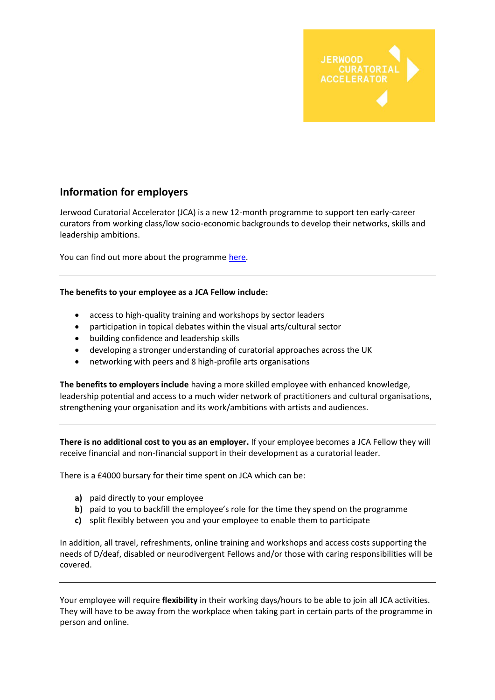

## **Information for employers**

Jerwood Curatorial Accelerator (JCA) is a new 12-month programme to support ten early-career curators from working class/low socio-economic backgrounds to develop their networks, skills and leadership ambitions.

You can find out more about the programme [here.](https://jerwoodarts.org/projects/jerwood-curatorial-accelerator/)

## **The benefits to your employee as a JCA Fellow include:**

- access to high-quality training and workshops by sector leaders
- participation in topical debates within the visual arts/cultural sector
- building confidence and leadership skills
- developing a stronger understanding of curatorial approaches across the UK
- networking with peers and 8 high-profile arts organisations

**The benefits to employers include** having a more skilled employee with enhanced knowledge, leadership potential and access to a much wider network of practitioners and cultural organisations, strengthening your organisation and its work/ambitions with artists and audiences.

**There is no additional cost to you as an employer.** If your employee becomes a JCA Fellow they will receive financial and non-financial support in their development as a curatorial leader.

There is a £4000 bursary for their time spent on JCA which can be:

- **a)** paid directly to your employee
- **b)** paid to you to backfill the employee's role for the time they spend on the programme
- **c)** split flexibly between you and your employee to enable them to participate

In addition, all travel, refreshments, online training and workshops and access costs supporting the needs of D/deaf, disabled or neurodivergent Fellows and/or those with caring responsibilities will be covered.

Your employee will require **flexibility** in their working days/hours to be able to join all JCA activities. They will have to be away from the workplace when taking part in certain parts of the programme in person and online.